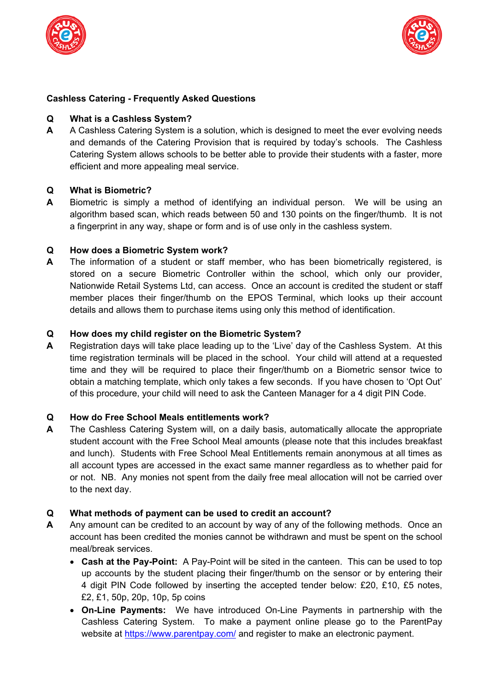



## **Cashless Catering - Frequently Asked Questions**

### **Q What is a Cashless System?**

**A** A Cashless Catering System is a solution, which is designed to meet the ever evolving needs and demands of the Catering Provision that is required by today's schools. The Cashless Catering System allows schools to be better able to provide their students with a faster, more efficient and more appealing meal service.

### **Q What is Biometric?**

**A** Biometric is simply a method of identifying an individual person. We will be using an algorithm based scan, which reads between 50 and 130 points on the finger/thumb. It is not a fingerprint in any way, shape or form and is of use only in the cashless system.

### **Q How does a Biometric System work?**

**A** The information of a student or staff member, who has been biometrically registered, is stored on a secure Biometric Controller within the school, which only our provider, Nationwide Retail Systems Ltd, can access. Once an account is credited the student or staff member places their finger/thumb on the EPOS Terminal, which looks up their account details and allows them to purchase items using only this method of identification.

### **Q How does my child register on the Biometric System?**

**A** Registration days will take place leading up to the 'Live' day of the Cashless System. At this time registration terminals will be placed in the school. Your child will attend at a requested time and they will be required to place their finger/thumb on a Biometric sensor twice to obtain a matching template, which only takes a few seconds. If you have chosen to 'Opt Out' of this procedure, your child will need to ask the Canteen Manager for a 4 digit PIN Code.

### **Q How do Free School Meals entitlements work?**

**A** The Cashless Catering System will, on a daily basis, automatically allocate the appropriate student account with the Free School Meal amounts (please note that this includes breakfast and lunch). Students with Free School Meal Entitlements remain anonymous at all times as all account types are accessed in the exact same manner regardless as to whether paid for or not. NB. Any monies not spent from the daily free meal allocation will not be carried over to the next day.

# **Q What methods of payment can be used to credit an account?**

- **A** Any amount can be credited to an account by way of any of the following methods. Once an account has been credited the monies cannot be withdrawn and must be spent on the school meal/break services.
	- **Cash at the Pay-Point:** A Pay-Point will be sited in the canteen. This can be used to top up accounts by the student placing their finger/thumb on the sensor or by entering their 4 digit PIN Code followed by inserting the accepted tender below: £20, £10, £5 notes, £2, £1, 50p, 20p, 10p, 5p coins
	- **On-Line Payments:** We have introduced On-Line Payments in partnership with the Cashless Catering System. To make a payment online please go to the ParentPay website at https://www.parentpay.com/ and register to make an electronic payment.